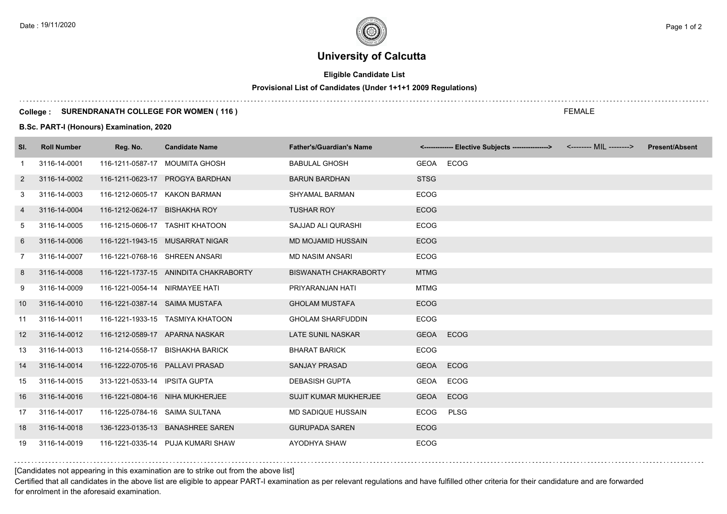# **University of Calcutta**

## **Eligible Candidate List**

## **Provisional List of Candidates (Under 1+1+1 2009 Regulations)**

### **College : SURENDRANATH COLLEGE FOR WOMEN ( 116 )**

**B.Sc. PART-I (Honours) Examination, 2020**

| SI.            | <b>Roll Number</b> | Reg. No.                       | <b>Candidate Name</b>                 | <b>Father's/Guardian's Name</b> |             | <-------------- Elective Subjects ----------------> <-------- MIL --------> | <b>Present/Absent</b> |
|----------------|--------------------|--------------------------------|---------------------------------------|---------------------------------|-------------|-----------------------------------------------------------------------------|-----------------------|
| -1             | 3116-14-0001       |                                | 116-1211-0587-17 MOUMITA GHOSH        | <b>BABULAL GHOSH</b>            |             | GEOA ECOG                                                                   |                       |
| $\overline{2}$ | 3116-14-0002       |                                | 116-1211-0623-17 PROGYA BARDHAN       | <b>BARUN BARDHAN</b>            | <b>STSG</b> |                                                                             |                       |
| 3              | 3116-14-0003       | 116-1212-0605-17 KAKON BARMAN  |                                       | <b>SHYAMAL BARMAN</b>           | <b>ECOG</b> |                                                                             |                       |
| 4              | 3116-14-0004       | 116-1212-0624-17 BISHAKHA ROY  |                                       | <b>TUSHAR ROY</b>               | <b>ECOG</b> |                                                                             |                       |
| 5              | 3116-14-0005       |                                | 116-1215-0606-17 TASHIT KHATOON       | SAJJAD ALI QURASHI              | <b>ECOG</b> |                                                                             |                       |
| 6              | 3116-14-0006       |                                | 116-1221-1943-15 MUSARRAT NIGAR       | <b>MD MOJAMID HUSSAIN</b>       | <b>ECOG</b> |                                                                             |                       |
| $\overline{7}$ | 3116-14-0007       | 116-1221-0768-16 SHREEN ANSARI |                                       | <b>MD NASIM ANSARI</b>          | <b>ECOG</b> |                                                                             |                       |
| 8              | 3116-14-0008       |                                | 116-1221-1737-15 ANINDITA CHAKRABORTY | <b>BISWANATH CHAKRABORTY</b>    | <b>MTMG</b> |                                                                             |                       |
| 9              | 3116-14-0009       | 116-1221-0054-14 NIRMAYEE HATI |                                       | PRIYARANJAN HATI                | <b>MTMG</b> |                                                                             |                       |
| 10             | 3116-14-0010       | 116-1221-0387-14 SAIMA MUSTAFA |                                       | <b>GHOLAM MUSTAFA</b>           | <b>ECOG</b> |                                                                             |                       |
| 11             | 3116-14-0011       |                                | 116-1221-1933-15 TASMIYA KHATOON      | <b>GHOLAM SHARFUDDIN</b>        | <b>ECOG</b> |                                                                             |                       |
| 12             | 3116-14-0012       |                                | 116-1212-0589-17 APARNA NASKAR        | LATE SUNIL NASKAR               | <b>GEOA</b> | <b>ECOG</b>                                                                 |                       |
| 13             | 3116-14-0013       |                                | 116-1214-0558-17 BISHAKHA BARICK      | <b>BHARAT BARICK</b>            | <b>ECOG</b> |                                                                             |                       |
| 14             | 3116-14-0014       |                                | 116-1222-0705-16 PALLAVI PRASAD       | <b>SANJAY PRASAD</b>            | <b>GEOA</b> | <b>ECOG</b>                                                                 |                       |
| 15             | 3116-14-0015       | 313-1221-0533-14 IPSITA GUPTA  |                                       | <b>DEBASISH GUPTA</b>           | GEOA        | <b>ECOG</b>                                                                 |                       |
| 16             | 3116-14-0016       |                                | 116-1221-0804-16 NIHA MUKHERJEE       | <b>SUJIT KUMAR MUKHERJEE</b>    | <b>GEOA</b> | ECOG                                                                        |                       |
| 17             | 3116-14-0017       | 116-1225-0784-16 SAIMA SULTANA |                                       | MD SADIQUE HUSSAIN              | <b>ECOG</b> | <b>PLSG</b>                                                                 |                       |
| 18             | 3116-14-0018       |                                | 136-1223-0135-13 BANASHREE SAREN      | <b>GURUPADA SAREN</b>           | <b>ECOG</b> |                                                                             |                       |
| 19             | 3116-14-0019       |                                | 116-1221-0335-14 PUJA KUMARI SHAW     | AYODHYA SHAW                    | <b>ECOG</b> |                                                                             |                       |

### [Candidates not appearing in this examination are to strike out from the above list]

Certified that all candidates in the above list are eligible to appear PART-I examination as per relevant regulations and have fulfilled other criteria for their candidature and are forwarded for enrolment in the aforesaid examination.

FEMALE